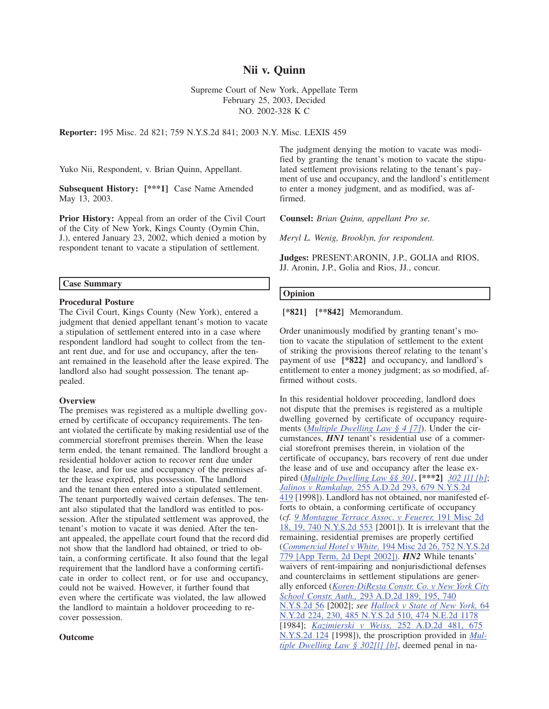# **Nii v. Quinn**

Supreme Court of New York, Appellate Term February 25, 2003, Decided NO. 2002-328 K C

**Reporter:** 195 Misc. 2d 821; 759 N.Y.S.2d 841; 2003 N.Y. Misc. LEXIS 459

Yuko Nii, Respondent, v. Brian Quinn, Appellant.

**Subsequent History: [\*\*\*1]** Case Name Amended May 13, 2003.

**Prior History:** Appeal from an order of the Civil Court of the City of New York, Kings County (Oymin Chin, J.), entered January 23, 2002, which denied a motion by respondent tenant to vacate a stipulation of settlement.

#### **Case Summary**

### **Procedural Posture**

The Civil Court, Kings County (New York), entered a judgment that denied appellant tenant's motion to vacate a stipulation of settlement entered into in a case where respondent landlord had sought to collect from the tenant rent due, and for use and occupancy, after the tenant remained in the leasehold after the lease expired. The landlord also had sought possession. The tenant appealed.

#### **Overview**

The premises was registered as a multiple dwelling governed by certificate of occupancy requirements. The tenant violated the certificate by making residential use of the commercial storefront premises therein. When the lease term ended, the tenant remained. The landlord brought a residential holdover action to recover rent due under the lease, and for use and occupancy of the premises after the lease expired, plus possession. The landlord and the tenant then entered into a stipulated settlement. The tenant purportedly waived certain defenses. The tenant also stipulated that the landlord was entitled to possession. After the stipulated settlement was approved, the tenant's motion to vacate it was denied. After the tenant appealed, the appellate court found that the record did not show that the landlord had obtained, or tried to obtain, a conforming certificate. It also found that the legal requirement that the landlord have a conforming certificate in order to collect rent, or for use and occupancy, could not be waived. However, it further found that even where the certificate was violated, the law allowed the landlord to maintain a holdover proceeding to recover possession.

#### **Outcome**

The judgment denying the motion to vacate was modified by granting the tenant's motion to vacate the stipulated settlement provisions relating to the tenant's payment of use and occupancy, and the landlord's entitlement to enter a money judgment, and as modified, was affirmed.

**Counsel:** *Brian Quinn, appellant Pro se.*

*Meryl L. Wenig, Brooklyn, for respondent.*

**Judges:** PRESENT:ARONIN, J.P., GOLIA and RIOS, JJ. Aronin, J.P., Golia and Rios, JJ., concur.

## **Opinion**

**[\*821] [\*\*842]** Memorandum.

Order unanimously modified by granting tenant's motion to vacate the stipulation of settlement to the extent of striking the provisions thereof relating to the tenant's payment of use **[\*822]** and occupancy, and landlord's entitlement to enter a money judgment; as so modified, affirmed without costs.

In this residential holdover proceeding, landlord does not dispute that the premises is registered as a multiple dwelling governed by certificate of occupancy requirements (*Multiple Dwelling Law § 4 [7]*). Under the circumstances, *HN1* tenant's residential use of a commercial storefront premises therein, in violation of the certificate of occupancy, bars recovery of rent due under the lease and of use and occupancy after the lease expired (*Multiple Dwelling Law §§ 301*, **[\*\*\*2]** *302 [l] [b]*; *Jalinos v Ramkalup,* 255 A.D.2d 293, 679 N.Y.S.2d 419 [1998]). Landlord has not obtained, nor manifested efforts to obtain, a conforming certificate of occupancy (*cf. 9 Montague Terrace Assoc. v Feuerer,* 191 Misc 2d 18, 19, 740 N.Y.S.2d 553 [2001]). It is irrelevant that the remaining, residential premises are properly certified (*Commercial Hotel v White,* 194 Misc 2d 26, 752 N.Y.S.2d 779 [App Term, 2d Dept 2002]). *HN2* While tenants' waivers of rent-impairing and nonjurisdictional defenses and counterclaims in settlement stipulations are generally enforced (*Koren-DiResta Constr. Co. v New York City School Constr. Auth.,* 293 A.D.2d 189, 195, 740 N.Y.S.2d 56 [2002]; *see Hallock v State of New York,* 64 N.Y.2d 224, 230, 485 N.Y.S.2d 510, 474 N.E.2d 1178 [1984]; *Kazimierski v Weiss,* 252 A.D.2d 481, 675 N.Y.S.2d 124 [1998]), the proscription provided in *Multiple Dwelling Law § 302[l] [b]*, deemed penal in na